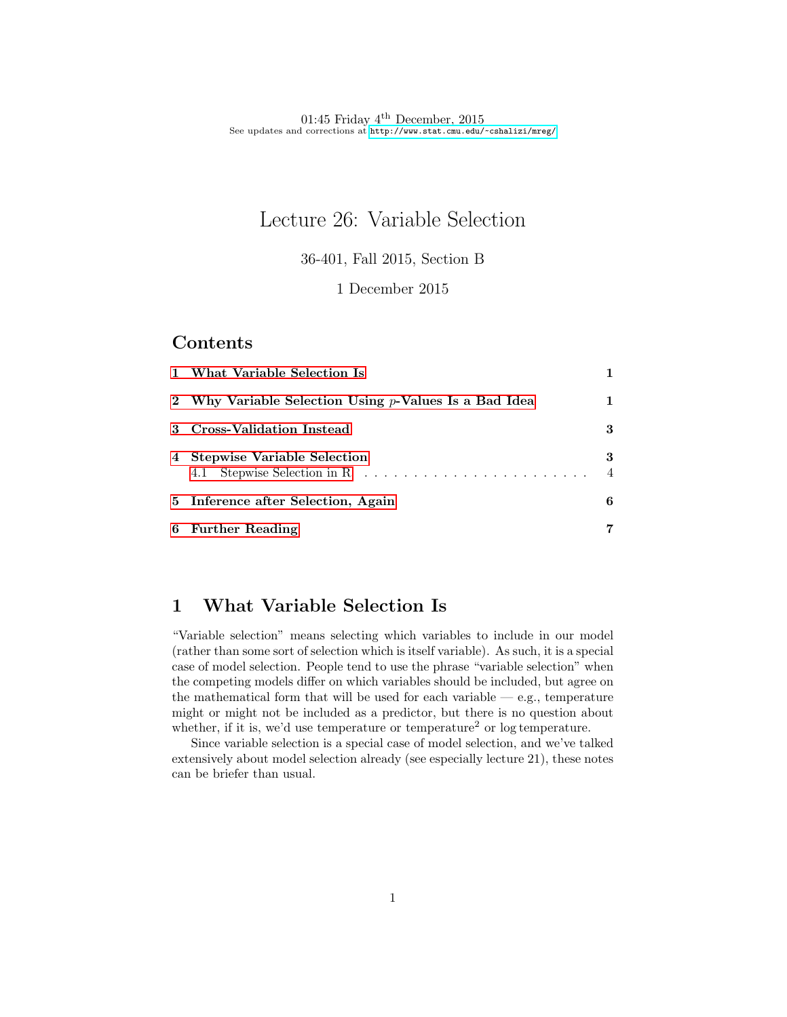# Lecture 26: Variable Selection

36-401, Fall 2015, Section B

#### 1 December 2015

### Contents

| 1 What Variable Selection Is                             |                     |
|----------------------------------------------------------|---------------------|
| 2 Why Variable Selection Using $p$ -Values Is a Bad Idea | 1                   |
| 3 Cross-Validation Instead                               | 3                   |
| 4 Stepwise Variable Selection                            | 3<br>$\overline{4}$ |
| 5 Inference after Selection, Again                       | 6                   |
| 6 Further Reading                                        | 7                   |

## <span id="page-0-0"></span>1 What Variable Selection Is

"Variable selection" means selecting which variables to include in our model (rather than some sort of selection which is itself variable). As such, it is a special case of model selection. People tend to use the phrase "variable selection" when the competing models differ on which variables should be included, but agree on the mathematical form that will be used for each variable  $-$  e.g., temperature might or might not be included as a predictor, but there is no question about whether, if it is, we'd use temperature or temperature<sup>2</sup> or log temperature.

Since variable selection is a special case of model selection, and we've talked extensively about model selection already (see especially lecture 21), these notes can be briefer than usual.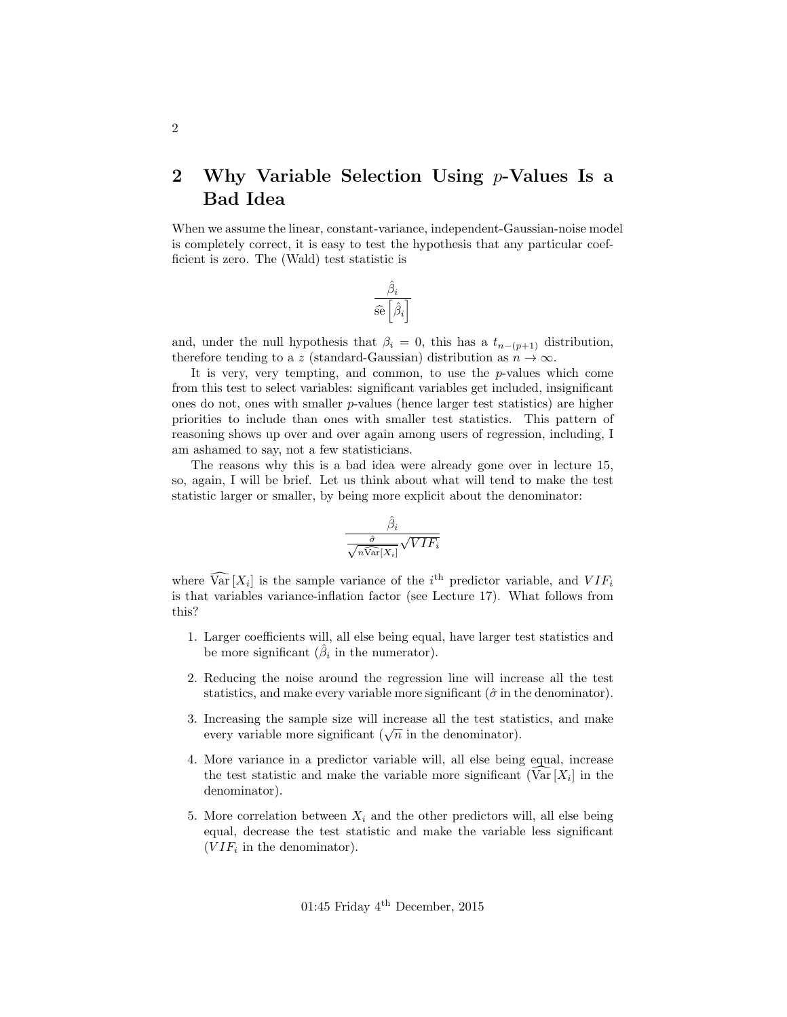## <span id="page-1-0"></span>2 Why Variable Selection Using  $p$ -Values Is a Bad Idea

When we assume the linear, constant-variance, independent-Gaussian-noise model is completely correct, it is easy to test the hypothesis that any particular coefficient is zero. The (Wald) test statistic is

$$
\frac{\hat{\beta}_i}{\widehat{\operatorname{se}}\left[\hat{\beta}_i\right]}
$$

and, under the null hypothesis that  $\beta_i = 0$ , this has a  $t_{n-(p+1)}$  distribution, therefore tending to a z (standard-Gaussian) distribution as  $n \to \infty$ .

It is very, very tempting, and common, to use the  $p$ -values which come from this test to select variables: significant variables get included, insignificant ones do not, ones with smaller p-values (hence larger test statistics) are higher priorities to include than ones with smaller test statistics. This pattern of reasoning shows up over and over again among users of regression, including, I am ashamed to say, not a few statisticians.

The reasons why this is a bad idea were already gone over in lecture 15, so, again, I will be brief. Let us think about what will tend to make the test statistic larger or smaller, by being more explicit about the denominator:

$$
\frac{\hat{\beta}_i}{\sqrt{n\widehat{\text{Var}}[X_i]}}\sqrt{VIF_i}
$$

where  $\widehat{\text{Var}}[X_i]$  is the sample variance of the  $i^{\text{th}}$  predictor variable, and  $VIF_i$ is that variables variance-inflation factor (see Lecture 17). What follows from this?

- 1. Larger coefficients will, all else being equal, have larger test statistics and be more significant  $(\hat{\beta}_i$  in the numerator).
- 2. Reducing the noise around the regression line will increase all the test statistics, and make every variable more significant ( $\hat{\sigma}$  in the denominator).
- 3. Increasing the sample size will increase all the test statistics, and make increasing the sample size will increase an the test state<br>every variable more significant ( $\sqrt{n}$  in the denominator).
- 4. More variance in a predictor variable will, all else being equal, increase the test statistic and make the variable more significant  $(Var[X_i])$  in the denominator).
- 5. More correlation between  $X_i$  and the other predictors will, all else being equal, decrease the test statistic and make the variable less significant  $(VIF<sub>i</sub>$  in the denominator).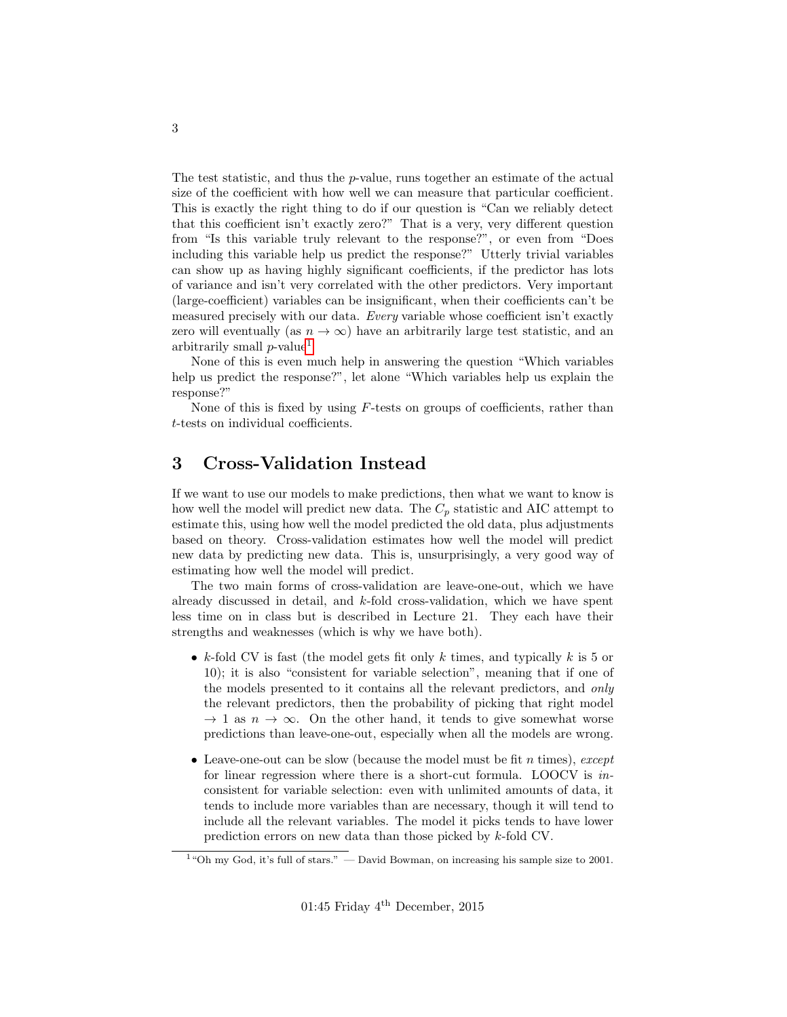The test statistic, and thus the p-value, runs together an estimate of the actual size of the coefficient with how well we can measure that particular coefficient. This is exactly the right thing to do if our question is "Can we reliably detect that this coefficient isn't exactly zero?" That is a very, very different question from "Is this variable truly relevant to the response?", or even from "Does including this variable help us predict the response?" Utterly trivial variables can show up as having highly significant coefficients, if the predictor has lots of variance and isn't very correlated with the other predictors. Very important (large-coefficient) variables can be insignificant, when their coefficients can't be measured precisely with our data. Every variable whose coefficient isn't exactly zero will eventually (as  $n \to \infty$ ) have an arbitrarily large test statistic, and an arbitrarily small  $p$ -value<sup>[1](#page-2-1)</sup>

None of this is even much help in answering the question "Which variables help us predict the response?", let alone "Which variables help us explain the response?"

None of this is fixed by using  $F$ -tests on groups of coefficients, rather than t-tests on individual coefficients.

## <span id="page-2-0"></span>3 Cross-Validation Instead

If we want to use our models to make predictions, then what we want to know is how well the model will predict new data. The  $C_p$  statistic and AIC attempt to estimate this, using how well the model predicted the old data, plus adjustments based on theory. Cross-validation estimates how well the model will predict new data by predicting new data. This is, unsurprisingly, a very good way of estimating how well the model will predict.

The two main forms of cross-validation are leave-one-out, which we have already discussed in detail, and  $k$ -fold cross-validation, which we have spent less time on in class but is described in Lecture 21. They each have their strengths and weaknesses (which is why we have both).

- k-fold CV is fast (the model gets fit only  $k$  times, and typically  $k$  is 5 or 10); it is also "consistent for variable selection", meaning that if one of the models presented to it contains all the relevant predictors, and only the relevant predictors, then the probability of picking that right model  $\rightarrow$  1 as  $n \rightarrow \infty$ . On the other hand, it tends to give somewhat worse predictions than leave-one-out, especially when all the models are wrong.
- Leave-one-out can be slow (because the model must be fit n times), except for linear regression where there is a short-cut formula. LOOCV is inconsistent for variable selection: even with unlimited amounts of data, it tends to include more variables than are necessary, though it will tend to include all the relevant variables. The model it picks tends to have lower prediction errors on new data than those picked by k-fold CV.

<span id="page-2-1"></span><sup>&</sup>lt;sup>1</sup> "Oh my God, it's full of stars." — David Bowman, on increasing his sample size to 2001.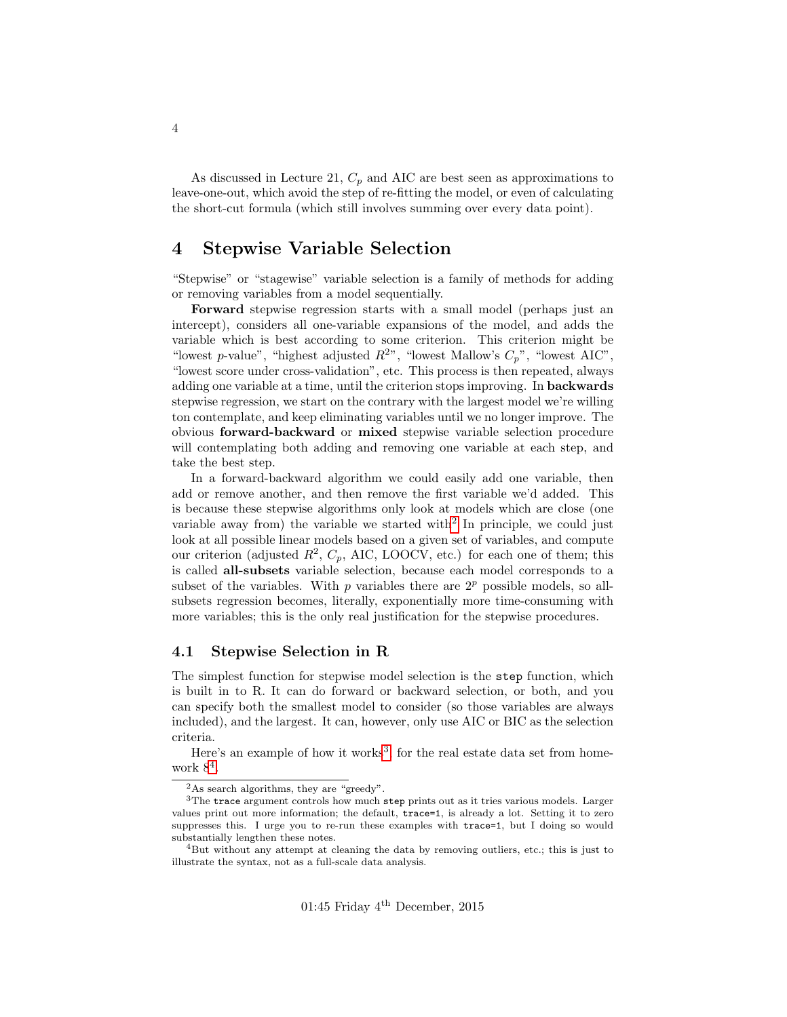As discussed in Lecture 21,  $C_p$  and AIC are best seen as approximations to leave-one-out, which avoid the step of re-fitting the model, or even of calculating the short-cut formula (which still involves summing over every data point).

## <span id="page-3-0"></span>4 Stepwise Variable Selection

"Stepwise" or "stagewise" variable selection is a family of methods for adding or removing variables from a model sequentially.

Forward stepwise regression starts with a small model (perhaps just an intercept), considers all one-variable expansions of the model, and adds the variable which is best according to some criterion. This criterion might be "lowest p-value", "highest adjusted  $R^{2n}$ , "lowest Mallow's  $C_p$ ", "lowest AIC", "lowest score under cross-validation", etc. This process is then repeated, always adding one variable at a time, until the criterion stops improving. In **backwards** stepwise regression, we start on the contrary with the largest model we're willing ton contemplate, and keep eliminating variables until we no longer improve. The obvious forward-backward or mixed stepwise variable selection procedure will contemplating both adding and removing one variable at each step, and take the best step.

In a forward-backward algorithm we could easily add one variable, then add or remove another, and then remove the first variable we'd added. This is because these stepwise algorithms only look at models which are close (one variable away from) the variable we started with<sup>[2](#page-3-2)</sup> In principle, we could just look at all possible linear models based on a given set of variables, and compute our criterion (adjusted  $R^2$ ,  $C_p$ , AIC, LOOCV, etc.) for each one of them; this is called all-subsets variable selection, because each model corresponds to a subset of the variables. With p variables there are  $2^p$  possible models, so allsubsets regression becomes, literally, exponentially more time-consuming with more variables; this is the only real justification for the stepwise procedures.

#### <span id="page-3-1"></span>4.1 Stepwise Selection in R

The simplest function for stepwise model selection is the step function, which is built in to R. It can do forward or backward selection, or both, and you can specify both the smallest model to consider (so those variables are always included), and the largest. It can, however, only use AIC or BIC as the selection criteria.

Here's an example of how it works<sup>[3](#page-3-3)</sup>, for the real estate data set from homework  $8^4$  $8^4$ .

<span id="page-3-3"></span><span id="page-3-2"></span><sup>2</sup>As search algorithms, they are "greedy".

 $3$ The trace argument controls how much step prints out as it tries various models. Larger values print out more information; the default, trace=1, is already a lot. Setting it to zero suppresses this. I urge you to re-run these examples with trace=1, but I doing so would substantially lengthen these notes.

<span id="page-3-4"></span><sup>&</sup>lt;sup>4</sup>But without any attempt at cleaning the data by removing outliers, etc.; this is just to illustrate the syntax, not as a full-scale data analysis.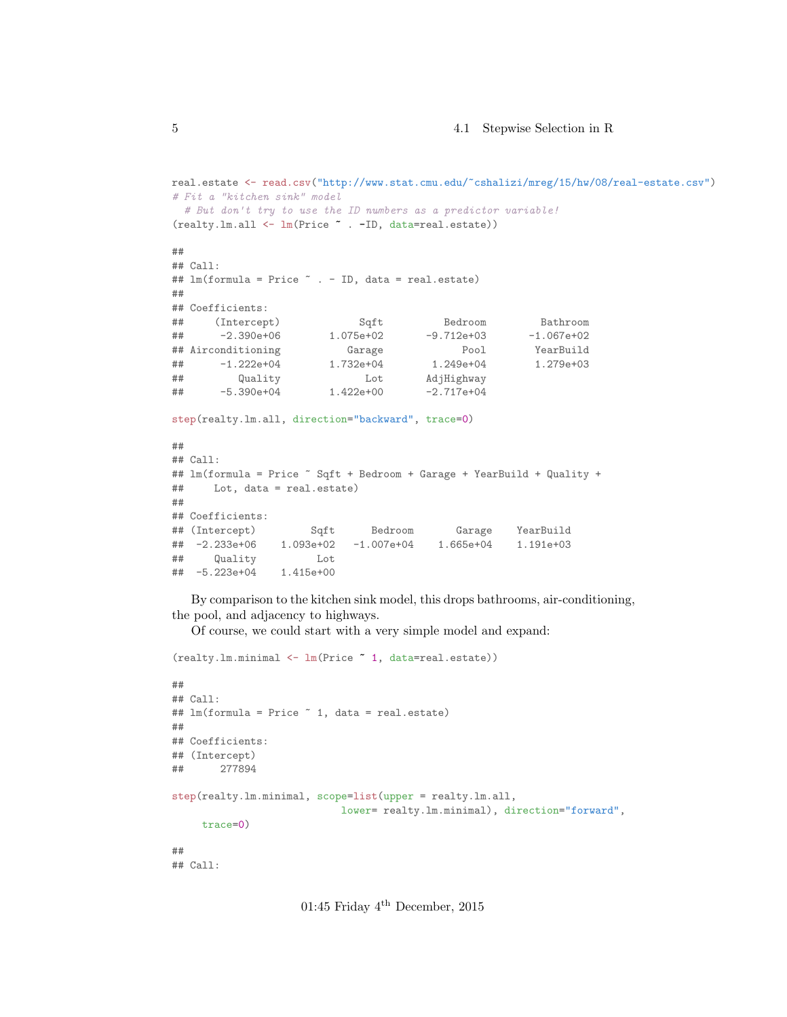```
real.estate <- read.csv("http://www.stat.cmu.edu/~cshalizi/mreg/15/hw/08/real-estate.csv")
# Fit a "kitchen sink" model
 # But don't try to use the ID numbers as a predictor variable!
(realty.lm.all <- lm(Price ~ . -ID, data=real.estate))
##
## Call:
## lm(formula = Price ~ . - ID, data = real.estate)
##
## Coefficients:
## (Intercept) Sqft Bedroom Bathroom
## -2.390e+06 1.075e+02 -9.712e+03 -1.067e+02
## Airconditioning Garage Pool YearBuild
## -1.222e+04 1.732e+04 1.249e+04 1.279e+03
## Quality Lot AdjHighway
## -5.390e+04 1.422e+00 -2.717e+04
step(realty.lm.all, direction="backward", trace=0)
##
## Call:
## lm(formula = Price ~ Sqft + Bedroom + Garage + YearBuild + Quality +
## Lot, data = real.estate)
##
## Coefficients:
## (Intercept) Sqft Bedroom Garage YearBuild
## -2.233e+06 1.093e+02 -1.007e+04 1.665e+04 1.191e+03
## Quality Lot
## -5.223e+04 1.415e+00
```
By comparison to the kitchen sink model, this drops bathrooms, air-conditioning, the pool, and adjacency to highways.

Of course, we could start with a very simple model and expand:

```
(realty.lm.minimal <- lm(Price ~ 1, data=real.estate))
##
## Call:
## lm(formula = Price ~ 1, data = real.estate)
##
## Coefficients:
## (Intercept)
## 277894
step(realty.lm.minimal, scope=list(upper = realty.lm.all,
                           lower= realty.lm.minimal), direction="forward",
     trace=0)
##
## Call:
```
01:45 Friday  $4^{\text{th}}$  December, 2015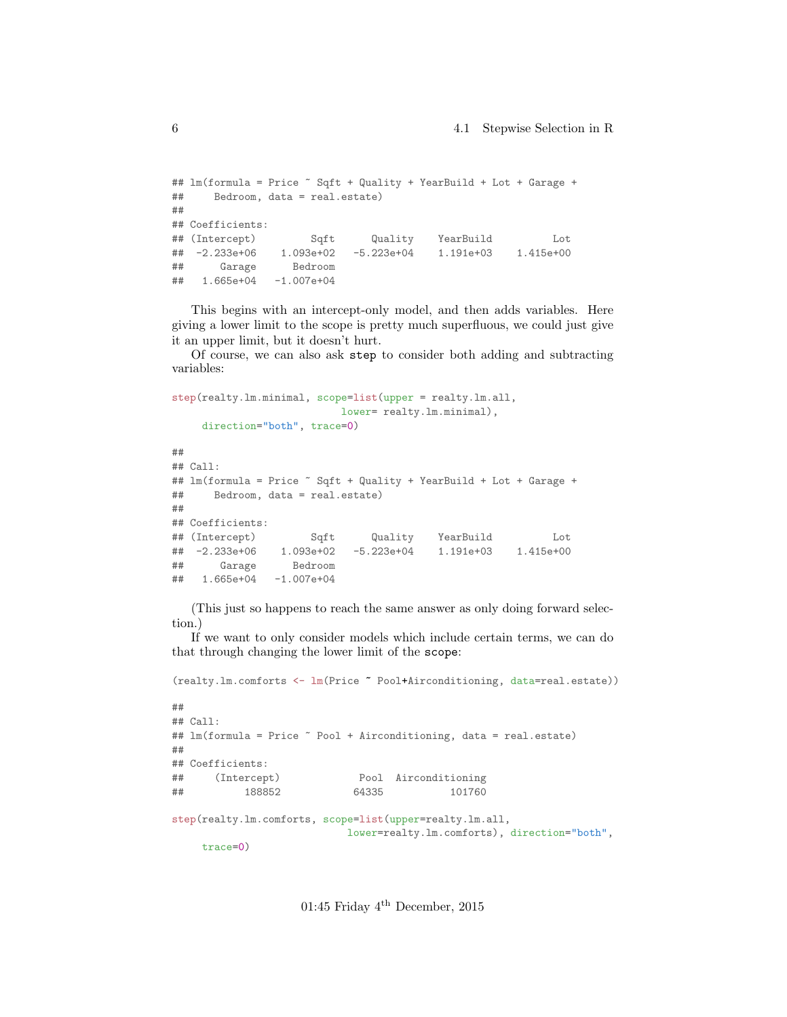```
## lm(formula = Price ~ Sqft + Quality + YearBuild + Lot + Garage +
## Bedroom, data = real.estate)
##
## Coefficients:
## (Intercept) Sqft Quality YearBuild Lot
## -2.233e+06 1.093e+02 -5.223e+04 1.191e+03 1.415e+00
## Garage Bedroom
## 1.665e+04 -1.007e+04
```
This begins with an intercept-only model, and then adds variables. Here giving a lower limit to the scope is pretty much superfluous, we could just give it an upper limit, but it doesn't hurt.

Of course, we can also ask step to consider both adding and subtracting variables:

```
step(realty.lm.minimal, scope=list(upper = realty.lm.all,
                        lower= realty.lm.minimal),
    direction="both", trace=0)
##
## Call:
## lm(formula = Price ~ Sqft + Quality + YearBuild + Lot + Garage +
## Bedroom, data = real.estate)
##
## Coefficients:
## (Intercept) Sqft Quality YearBuild Lot
## -2.233e+06 1.093e+02 -5.223e+04 1.191e+03 1.415e+00
## Garage Bedroom
## 1.665e+04 -1.007e+04
```
(This just so happens to reach the same answer as only doing forward selection.)

If we want to only consider models which include certain terms, we can do that through changing the lower limit of the scope:

```
(realty.lm.comforts <- lm(Price ~ Pool+Airconditioning, data=real.estate))
##
## Call:
## lm(formula = Price " Pool + Airconditioning, data = real. estate)##
## Coefficients:
## (Intercept) Pool Airconditioning
## 188852 64335 101760
step(realty.lm.comforts, scope=list(upper=realty.lm.all,
                         lower=realty.lm.comforts), direction="both",
    trace=0)
```